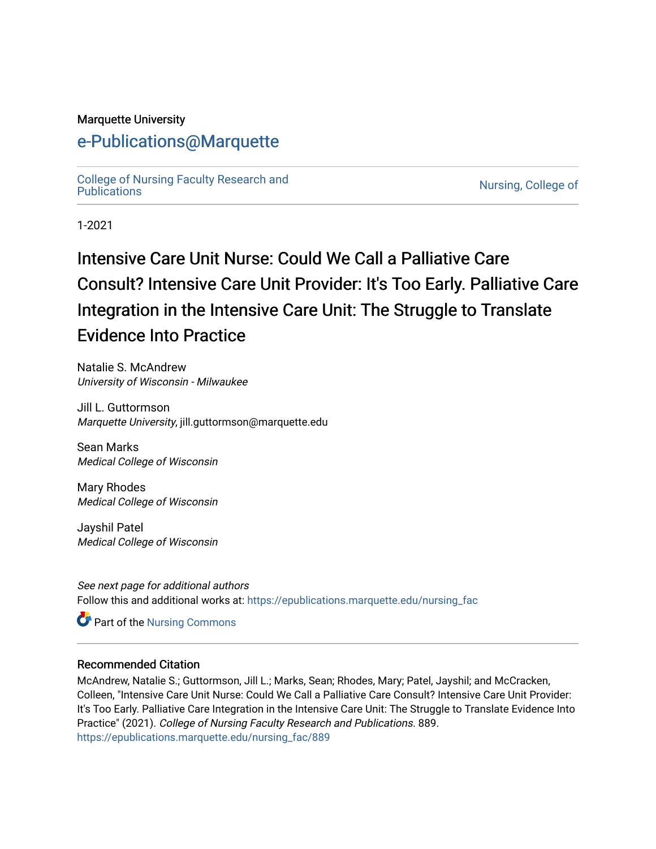#### Marquette University

### [e-Publications@Marquette](https://epublications.marquette.edu/)

[College of Nursing Faculty Research and](https://epublications.marquette.edu/nursing_fac)<br>Publications

Nursing, College of

1-2021

# Intensive Care Unit Nurse: Could We Call a Palliative Care Consult? Intensive Care Unit Provider: It's Too Early. Palliative Care Integration in the Intensive Care Unit: The Struggle to Translate Evidence Into Practice

Natalie S. McAndrew University of Wisconsin - Milwaukee

Jill L. Guttormson Marquette University, jill.guttormson@marquette.edu

Sean Marks Medical College of Wisconsin

Mary Rhodes Medical College of Wisconsin

Jayshil Patel Medical College of Wisconsin

See next page for additional authors Follow this and additional works at: [https://epublications.marquette.edu/nursing\\_fac](https://epublications.marquette.edu/nursing_fac?utm_source=epublications.marquette.edu%2Fnursing_fac%2F889&utm_medium=PDF&utm_campaign=PDFCoverPages)

Part of the [Nursing Commons](http://network.bepress.com/hgg/discipline/718?utm_source=epublications.marquette.edu%2Fnursing_fac%2F889&utm_medium=PDF&utm_campaign=PDFCoverPages) 

#### Recommended Citation

McAndrew, Natalie S.; Guttormson, Jill L.; Marks, Sean; Rhodes, Mary; Patel, Jayshil; and McCracken, Colleen, "Intensive Care Unit Nurse: Could We Call a Palliative Care Consult? Intensive Care Unit Provider: It's Too Early. Palliative Care Integration in the Intensive Care Unit: The Struggle to Translate Evidence Into Practice" (2021). College of Nursing Faculty Research and Publications. 889. [https://epublications.marquette.edu/nursing\\_fac/889](https://epublications.marquette.edu/nursing_fac/889?utm_source=epublications.marquette.edu%2Fnursing_fac%2F889&utm_medium=PDF&utm_campaign=PDFCoverPages)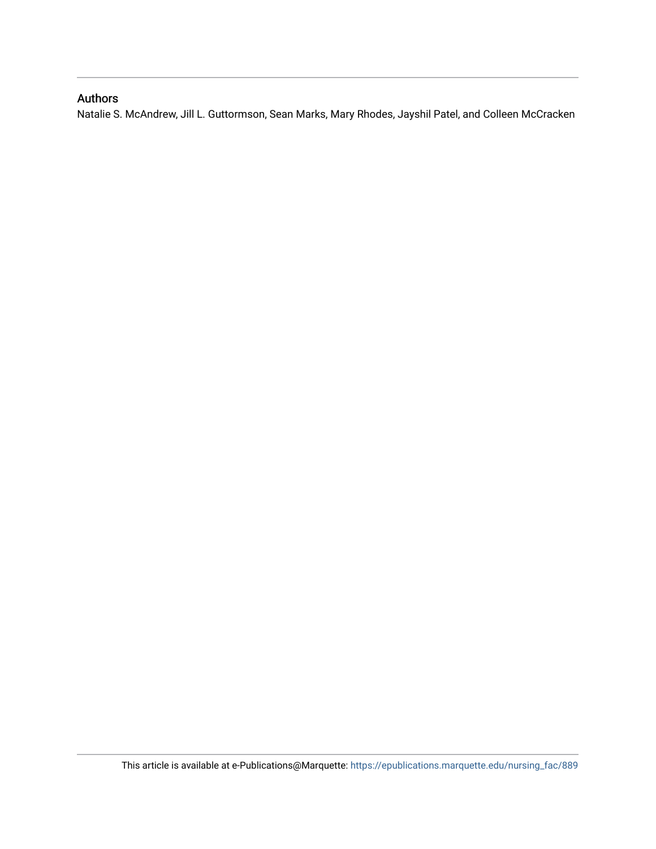#### Authors

Natalie S. McAndrew, Jill L. Guttormson, Sean Marks, Mary Rhodes, Jayshil Patel, and Colleen McCracken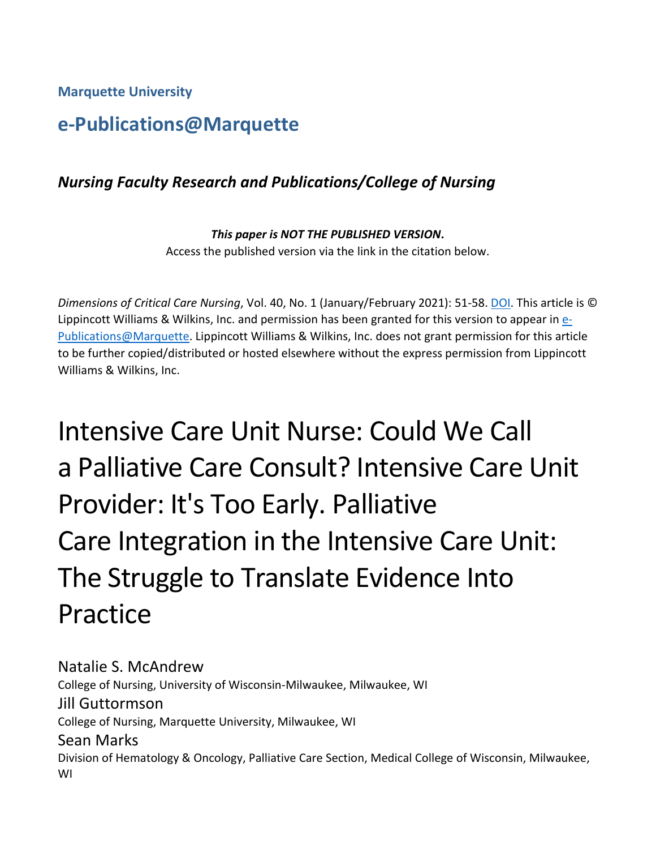**Marquette University**

# **e-Publications@Marquette**

### *Nursing Faculty Research and Publications/College of Nursing*

*This paper is NOT THE PUBLISHED VERSION***.**  Access the published version via the link in the citation below.

*Dimensions of Critical Care Nursing*, Vol. 40, No. 1 (January/February 2021): 51-58. [DOI.](https://doi.org/10.1097/DCC.0000000000000451) This article is © Lippincott Williams & Wilkins, Inc. and permission has been granted for this version to appear i[n e-](http://epublications.marquette.edu/)[Publications@Marquette.](http://epublications.marquette.edu/) Lippincott Williams & Wilkins, Inc. does not grant permission for this article to be further copied/distributed or hosted elsewhere without the express permission from Lippincott Williams & Wilkins, Inc.

Intensive Care Unit Nurse: Could We Call a Palliative Care Consult? Intensive Care Unit Provider: It's Too Early. Palliative Care Integration in the Intensive Care Unit: The Struggle to Translate Evidence Into Practice

Natalie S. McAndrew College of Nursing, University of Wisconsin-Milwaukee, Milwaukee, WI Jill Guttormson College of Nursing, Marquette University, Milwaukee, WI Sean Marks Division of Hematology & Oncology, Palliative Care Section, Medical College of Wisconsin, Milwaukee, WI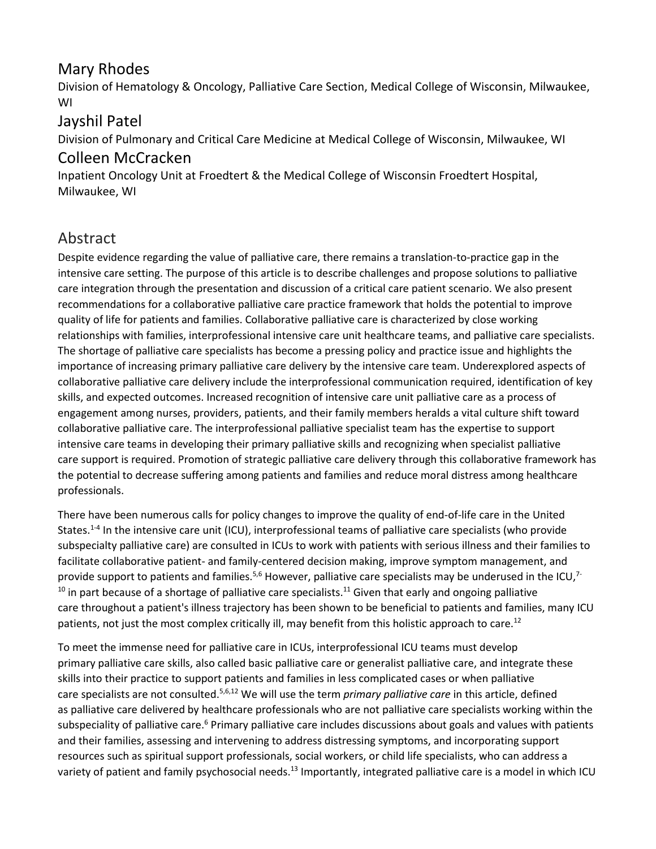#### Mary Rhodes

Division of Hematology & Oncology, Palliative Care Section, Medical College of Wisconsin, Milwaukee, WI

#### Jayshil Patel

Division of Pulmonary and Critical Care Medicine at Medical College of Wisconsin, Milwaukee, WI

#### Colleen McCracken

Inpatient Oncology Unit at Froedtert & the Medical College of Wisconsin Froedtert Hospital, Milwaukee, WI

# Abstract

Despite evidence regarding the value of palliative care, there remains a translation-to-practice gap in the intensive care setting. The purpose of this article is to describe challenges and propose solutions to palliative care integration through the presentation and discussion of a critical care patient scenario. We also present recommendations for a collaborative palliative care practice framework that holds the potential to improve quality of life for patients and families. Collaborative palliative care is characterized by close working relationships with families, interprofessional intensive care unit healthcare teams, and palliative care specialists. The shortage of palliative care specialists has become a pressing policy and practice issue and highlights the importance of increasing primary palliative care delivery by the intensive care team. Underexplored aspects of collaborative palliative care delivery include the interprofessional communication required, identification of key skills, and expected outcomes. Increased recognition of intensive care unit palliative care as a process of engagement among nurses, providers, patients, and their family members heralds a vital culture shift toward collaborative palliative care. The interprofessional palliative specialist team has the expertise to support intensive care teams in developing their primary palliative skills and recognizing when specialist palliative care support is required. Promotion of strategic palliative care delivery through this collaborative framework has the potential to decrease suffering among patients and families and reduce moral distress among healthcare professionals.

There have been numerous calls for policy changes to improve the quality of end-of-life care in the United States.<sup>1-4</sup> In the intensive care unit (ICU), interprofessional teams of palliative care specialists (who provide subspecialty palliative care) are consulted in ICUs to work with patients with serious illness and their families to facilitate collaborative patient- and family-centered decision making, improve symptom management, and provide support to patients and families.<sup>5,6</sup> However, palliative care specialists may be underused in the ICU,<sup>7-</sup>  $10$  in part because of a shortage of palliative care specialists.<sup>11</sup> Given that early and ongoing palliative care throughout a patient's illness trajectory has been shown to be beneficial to patients and families, many ICU patients, not just the most complex critically ill, may benefit from this holistic approach to care.<sup>12</sup>

To meet the immense need for palliative care in ICUs, interprofessional ICU teams must develop primary palliative care skills, also called basic palliative care or generalist palliative care, and integrate these skills into their practice to support patients and families in less complicated cases or when palliative care specialists are not consulted.5,6,12 We will use the term *primary palliative care* in this article, defined as palliative care delivered by healthcare professionals who are not palliative care specialists working within the subspeciality of palliative care.<sup>6</sup> Primary palliative care includes discussions about goals and values with patients and their families, assessing and intervening to address distressing symptoms, and incorporating support resources such as spiritual support professionals, social workers, or child life specialists, who can address a variety of patient and family psychosocial needs.<sup>13</sup> Importantly, integrated palliative care is a model in which ICU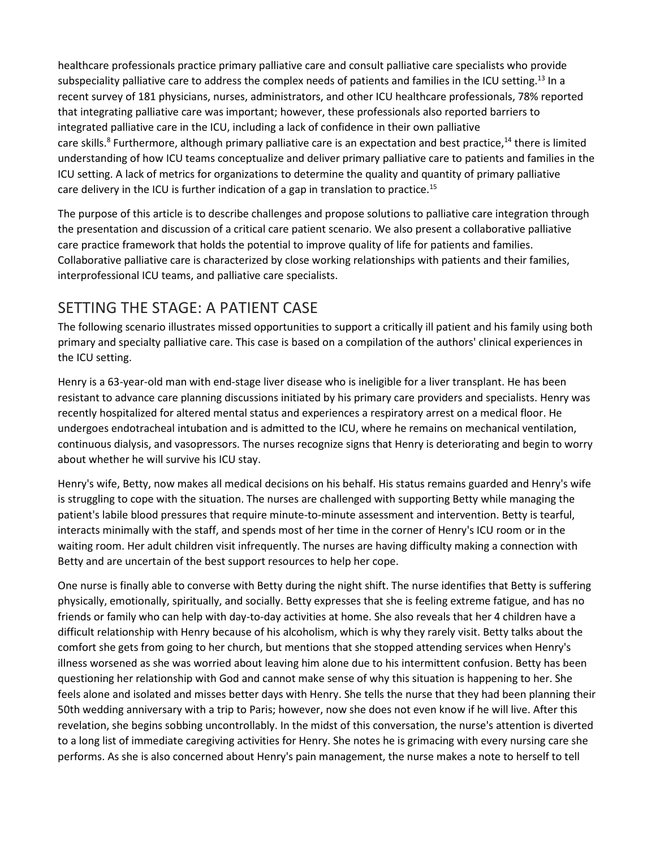healthcare professionals practice primary palliative care and consult palliative care specialists who provide subspeciality palliative care to address the complex needs of patients and families in the ICU setting.<sup>13</sup> In a recent survey of 181 physicians, nurses, administrators, and other ICU healthcare professionals, 78% reported that integrating palliative care was important; however, these professionals also reported barriers to integrated palliative care in the ICU, including a lack of confidence in their own palliative care skills.<sup>8</sup> Furthermore, although primary palliative care is an expectation and best practice,<sup>14</sup> there is limited understanding of how ICU teams conceptualize and deliver primary palliative care to patients and families in the ICU setting. A lack of metrics for organizations to determine the quality and quantity of primary palliative care delivery in the ICU is further indication of a gap in translation to practice.<sup>15</sup>

The purpose of this article is to describe challenges and propose solutions to palliative care integration through the presentation and discussion of a critical care patient scenario. We also present a collaborative palliative care practice framework that holds the potential to improve quality of life for patients and families. Collaborative palliative care is characterized by close working relationships with patients and their families, interprofessional ICU teams, and palliative care specialists.

## SETTING THE STAGE: A PATIENT CASE

The following scenario illustrates missed opportunities to support a critically ill patient and his family using both primary and specialty palliative care. This case is based on a compilation of the authors' clinical experiences in the ICU setting.

Henry is a 63-year-old man with end-stage liver disease who is ineligible for a liver transplant. He has been resistant to advance care planning discussions initiated by his primary care providers and specialists. Henry was recently hospitalized for altered mental status and experiences a respiratory arrest on a medical floor. He undergoes endotracheal intubation and is admitted to the ICU, where he remains on mechanical ventilation, continuous dialysis, and vasopressors. The nurses recognize signs that Henry is deteriorating and begin to worry about whether he will survive his ICU stay.

Henry's wife, Betty, now makes all medical decisions on his behalf. His status remains guarded and Henry's wife is struggling to cope with the situation. The nurses are challenged with supporting Betty while managing the patient's labile blood pressures that require minute-to-minute assessment and intervention. Betty is tearful, interacts minimally with the staff, and spends most of her time in the corner of Henry's ICU room or in the waiting room. Her adult children visit infrequently. The nurses are having difficulty making a connection with Betty and are uncertain of the best support resources to help her cope.

One nurse is finally able to converse with Betty during the night shift. The nurse identifies that Betty is suffering physically, emotionally, spiritually, and socially. Betty expresses that she is feeling extreme fatigue, and has no friends or family who can help with day-to-day activities at home. She also reveals that her 4 children have a difficult relationship with Henry because of his alcoholism, which is why they rarely visit. Betty talks about the comfort she gets from going to her church, but mentions that she stopped attending services when Henry's illness worsened as she was worried about leaving him alone due to his intermittent confusion. Betty has been questioning her relationship with God and cannot make sense of why this situation is happening to her. She feels alone and isolated and misses better days with Henry. She tells the nurse that they had been planning their 50th wedding anniversary with a trip to Paris; however, now she does not even know if he will live. After this revelation, she begins sobbing uncontrollably. In the midst of this conversation, the nurse's attention is diverted to a long list of immediate caregiving activities for Henry. She notes he is grimacing with every nursing care she performs. As she is also concerned about Henry's pain management, the nurse makes a note to herself to tell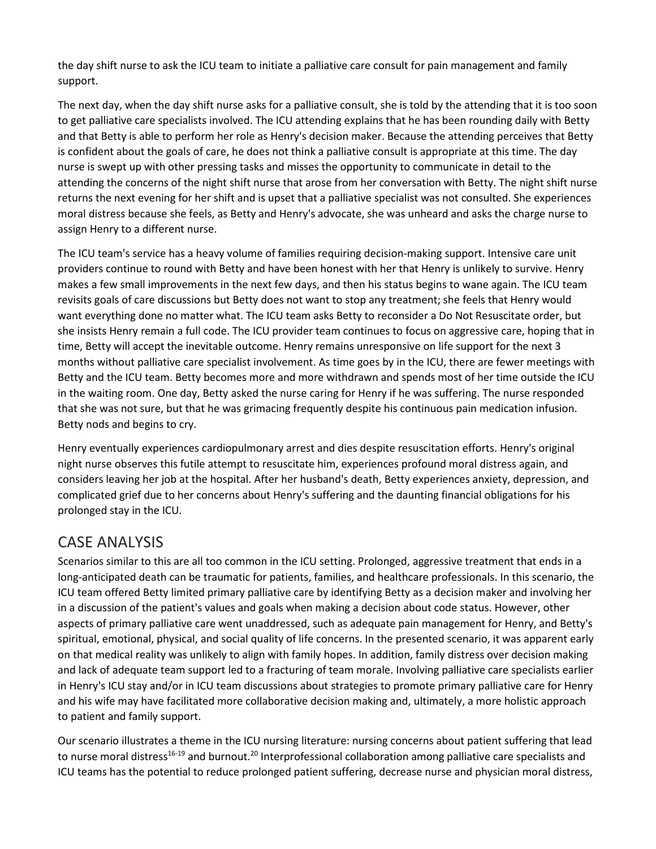the day shift nurse to ask the ICU team to initiate a palliative care consult for pain management and family support.

The next day, when the day shift nurse asks for a palliative consult, she is told by the attending that it is too soon to get palliative care specialists involved. The ICU attending explains that he has been rounding daily with Betty and that Betty is able to perform her role as Henry's decision maker. Because the attending perceives that Betty is confident about the goals of care, he does not think a palliative consult is appropriate at this time. The day nurse is swept up with other pressing tasks and misses the opportunity to communicate in detail to the attending the concerns of the night shift nurse that arose from her conversation with Betty. The night shift nurse returns the next evening for her shift and is upset that a palliative specialist was not consulted. She experiences moral distress because she feels, as Betty and Henry's advocate, she was unheard and asks the charge nurse to assign Henry to a different nurse.

The ICU team's service has a heavy volume of families requiring decision-making support. Intensive care unit providers continue to round with Betty and have been honest with her that Henry is unlikely to survive. Henry makes a few small improvements in the next few days, and then his status begins to wane again. The ICU team revisits goals of care discussions but Betty does not want to stop any treatment; she feels that Henry would want everything done no matter what. The ICU team asks Betty to reconsider a Do Not Resuscitate order, but she insists Henry remain a full code. The ICU provider team continues to focus on aggressive care, hoping that in time, Betty will accept the inevitable outcome. Henry remains unresponsive on life support for the next 3 months without palliative care specialist involvement. As time goes by in the ICU, there are fewer meetings with Betty and the ICU team. Betty becomes more and more withdrawn and spends most of her time outside the ICU in the waiting room. One day, Betty asked the nurse caring for Henry if he was suffering. The nurse responded that she was not sure, but that he was grimacing frequently despite his continuous pain medication infusion. Betty nods and begins to cry.

Henry eventually experiences cardiopulmonary arrest and dies despite resuscitation efforts. Henry's original night nurse observes this futile attempt to resuscitate him, experiences profound moral distress again, and considers leaving her job at the hospital. After her husband's death, Betty experiences anxiety, depression, and complicated grief due to her concerns about Henry's suffering and the daunting financial obligations for his prolonged stay in the ICU.

#### CASE ANALYSIS

Scenarios similar to this are all too common in the ICU setting. Prolonged, aggressive treatment that ends in a long-anticipated death can be traumatic for patients, families, and healthcare professionals. In this scenario, the ICU team offered Betty limited primary palliative care by identifying Betty as a decision maker and involving her in a discussion of the patient's values and goals when making a decision about code status. However, other aspects of primary palliative care went unaddressed, such as adequate pain management for Henry, and Betty's spiritual, emotional, physical, and social quality of life concerns. In the presented scenario, it was apparent early on that medical reality was unlikely to align with family hopes. In addition, family distress over decision making and lack of adequate team support led to a fracturing of team morale. Involving palliative care specialists earlier in Henry's ICU stay and/or in ICU team discussions about strategies to promote primary palliative care for Henry and his wife may have facilitated more collaborative decision making and, ultimately, a more holistic approach to patient and family support.

Our scenario illustrates a theme in the ICU nursing literature: nursing concerns about patient suffering that lead to nurse moral distress<sup>16-19</sup> and burnout.<sup>20</sup> Interprofessional collaboration among palliative care specialists and ICU teams has the potential to reduce prolonged patient suffering, decrease nurse and physician moral distress,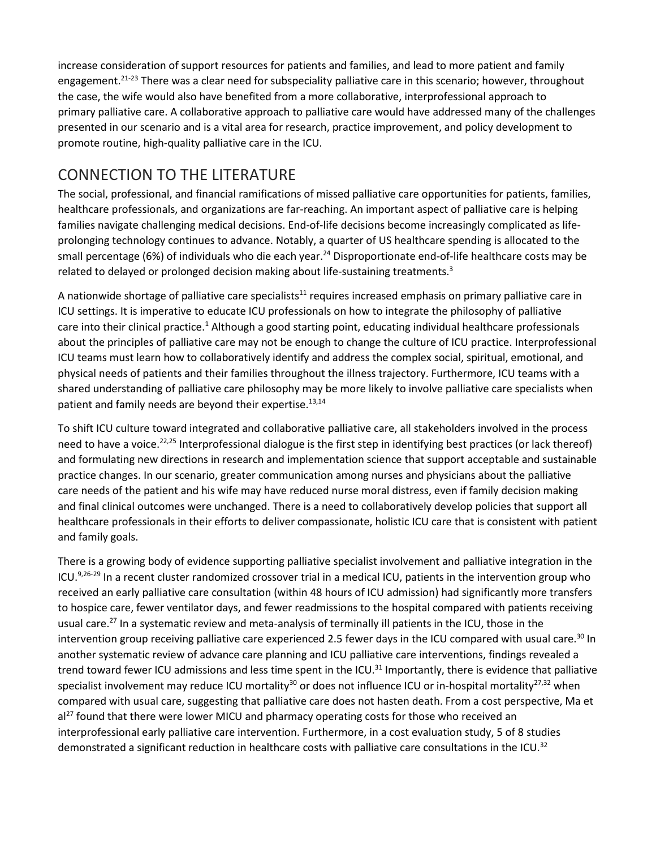increase consideration of support resources for patients and families, and lead to more patient and family engagement.<sup>21-23</sup> There was a clear need for subspeciality palliative care in this scenario; however, throughout the case, the wife would also have benefited from a more collaborative, interprofessional approach to primary palliative care. A collaborative approach to palliative care would have addressed many of the challenges presented in our scenario and is a vital area for research, practice improvement, and policy development to promote routine, high-quality palliative care in the ICU.

## CONNECTION TO THE LITERATURE

The social, professional, and financial ramifications of missed palliative care opportunities for patients, families, healthcare professionals, and organizations are far-reaching. An important aspect of palliative care is helping families navigate challenging medical decisions. End-of-life decisions become increasingly complicated as lifeprolonging technology continues to advance. Notably, a quarter of US healthcare spending is allocated to the small percentage (6%) of individuals who die each year.<sup>24</sup> Disproportionate end-of-life healthcare costs may be related to delayed or prolonged decision making about life-sustaining treatments.<sup>3</sup>

A nationwide shortage of palliative care specialists<sup>11</sup> requires increased emphasis on primary palliative care in ICU settings. It is imperative to educate ICU professionals on how to integrate the philosophy of palliative care into their clinical practice.<sup>1</sup> Although a good starting point, educating individual healthcare professionals about the principles of palliative care may not be enough to change the culture of ICU practice. Interprofessional ICU teams must learn how to collaboratively identify and address the complex social, spiritual, emotional, and physical needs of patients and their families throughout the illness trajectory. Furthermore, ICU teams with a shared understanding of palliative care philosophy may be more likely to involve palliative care specialists when patient and family needs are beyond their expertise.<sup>13,14</sup>

To shift ICU culture toward integrated and collaborative palliative care, all stakeholders involved in the process need to have a voice.<sup>22,25</sup> Interprofessional dialogue is the first step in identifying best practices (or lack thereof) and formulating new directions in research and implementation science that support acceptable and sustainable practice changes. In our scenario, greater communication among nurses and physicians about the palliative care needs of the patient and his wife may have reduced nurse moral distress, even if family decision making and final clinical outcomes were unchanged. There is a need to collaboratively develop policies that support all healthcare professionals in their efforts to deliver compassionate, holistic ICU care that is consistent with patient and family goals.

There is a growing body of evidence supporting palliative specialist involvement and palliative integration in the ICU.<sup>9,26-29</sup> In a recent cluster randomized crossover trial in a medical ICU, patients in the intervention group who received an early palliative care consultation (within 48 hours of ICU admission) had significantly more transfers to hospice care, fewer ventilator days, and fewer readmissions to the hospital compared with patients receiving usual care.<sup>27</sup> In a systematic review and meta-analysis of terminally ill patients in the ICU, those in the intervention group receiving palliative care experienced 2.5 fewer days in the ICU compared with usual care.<sup>30</sup> In another systematic review of advance care planning and ICU palliative care interventions, findings revealed a trend toward fewer ICU admissions and less time spent in the ICU.<sup>31</sup> Importantly, there is evidence that palliative specialist involvement may reduce ICU mortality<sup>30</sup> or does not influence ICU or in-hospital mortality<sup>27,32</sup> when compared with usual care, suggesting that palliative care does not hasten death. From a cost perspective, Ma et  $al^{27}$  found that there were lower MICU and pharmacy operating costs for those who received an interprofessional early palliative care intervention. Furthermore, in a cost evaluation study, 5 of 8 studies demonstrated a significant reduction in healthcare costs with palliative care consultations in the ICU.<sup>32</sup>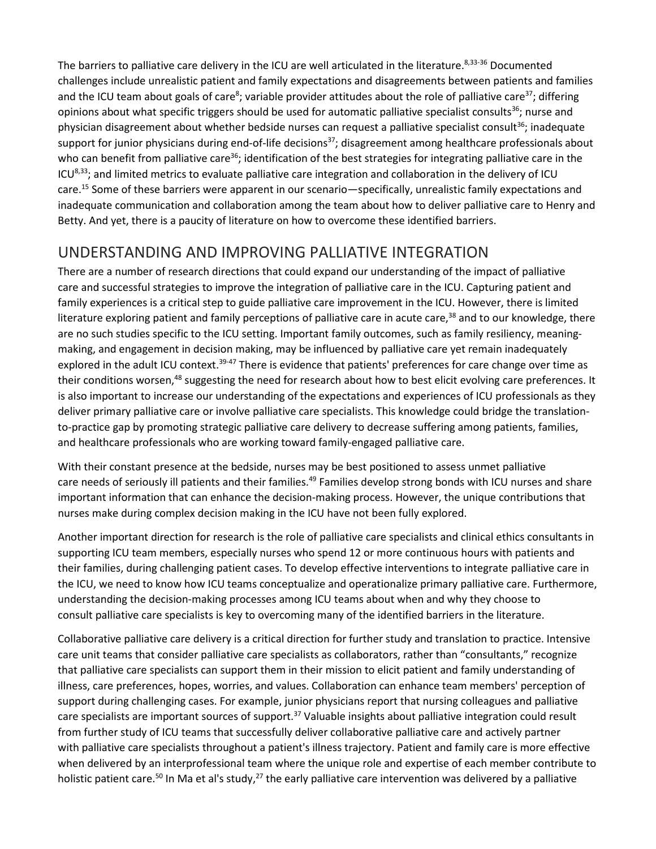The barriers to palliative care delivery in the ICU are well articulated in the literature.<sup>8,33-36</sup> Documented challenges include unrealistic patient and family expectations and disagreements between patients and families and the ICU team about goals of care<sup>8</sup>; variable provider attitudes about the role of palliative care<sup>37</sup>; differing opinions about what specific triggers should be used for automatic palliative specialist consults<sup>36</sup>; nurse and physician disagreement about whether bedside nurses can request a palliative specialist consult<sup>36</sup>; inadequate support for junior physicians during end-of-life decisions<sup>37</sup>; disagreement among healthcare professionals about who can benefit from palliative care<sup>36</sup>; identification of the best strategies for integrating palliative care in the  $ICU<sup>8,33</sup>$ ; and limited metrics to evaluate palliative care integration and collaboration in the delivery of ICU care.15 Some of these barriers were apparent in our scenario—specifically, unrealistic family expectations and inadequate communication and collaboration among the team about how to deliver palliative care to Henry and Betty. And yet, there is a paucity of literature on how to overcome these identified barriers.

## UNDERSTANDING AND IMPROVING PALLIATIVE INTEGRATION

There are a number of research directions that could expand our understanding of the impact of palliative care and successful strategies to improve the integration of palliative care in the ICU. Capturing patient and family experiences is a critical step to guide palliative care improvement in the ICU. However, there is limited literature exploring patient and family perceptions of palliative care in acute care, $38$  and to our knowledge, there are no such studies specific to the ICU setting. Important family outcomes, such as family resiliency, meaningmaking, and engagement in decision making, may be influenced by palliative care yet remain inadequately explored in the adult ICU context.<sup>39-47</sup> There is evidence that patients' preferences for care change over time as their conditions worsen,<sup>48</sup> suggesting the need for research about how to best elicit evolving care preferences. It is also important to increase our understanding of the expectations and experiences of ICU professionals as they deliver primary palliative care or involve palliative care specialists. This knowledge could bridge the translationto-practice gap by promoting strategic palliative care delivery to decrease suffering among patients, families, and healthcare professionals who are working toward family-engaged palliative care.

With their constant presence at the bedside, nurses may be best positioned to assess unmet palliative care needs of seriously ill patients and their families.<sup>49</sup> Families develop strong bonds with ICU nurses and share important information that can enhance the decision-making process. However, the unique contributions that nurses make during complex decision making in the ICU have not been fully explored.

Another important direction for research is the role of palliative care specialists and clinical ethics consultants in supporting ICU team members, especially nurses who spend 12 or more continuous hours with patients and their families, during challenging patient cases. To develop effective interventions to integrate palliative care in the ICU, we need to know how ICU teams conceptualize and operationalize primary palliative care. Furthermore, understanding the decision-making processes among ICU teams about when and why they choose to consult palliative care specialists is key to overcoming many of the identified barriers in the literature.

Collaborative palliative care delivery is a critical direction for further study and translation to practice. Intensive care unit teams that consider palliative care specialists as collaborators, rather than "consultants," recognize that palliative care specialists can support them in their mission to elicit patient and family understanding of illness, care preferences, hopes, worries, and values. Collaboration can enhance team members' perception of support during challenging cases. For example, junior physicians report that nursing colleagues and palliative care specialists are important sources of support.<sup>37</sup> Valuable insights about palliative integration could result from further study of ICU teams that successfully deliver collaborative palliative care and actively partner with palliative care specialists throughout a patient's illness trajectory. Patient and family care is more effective when delivered by an interprofessional team where the unique role and expertise of each member contribute to holistic patient care.<sup>50</sup> In Ma et al's study,<sup>27</sup> the early palliative care intervention was delivered by a palliative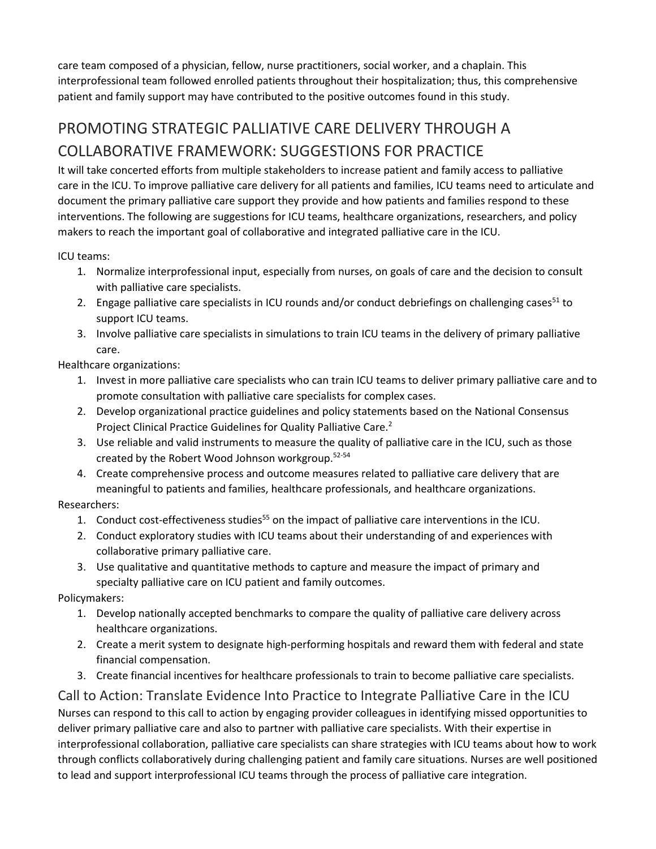care team composed of a physician, fellow, nurse practitioners, social worker, and a chaplain. This interprofessional team followed enrolled patients throughout their hospitalization; thus, this comprehensive patient and family support may have contributed to the positive outcomes found in this study.

# PROMOTING STRATEGIC PALLIATIVE CARE DELIVERY THROUGH A COLLABORATIVE FRAMEWORK: SUGGESTIONS FOR PRACTICE

It will take concerted efforts from multiple stakeholders to increase patient and family access to palliative care in the ICU. To improve palliative care delivery for all patients and families, ICU teams need to articulate and document the primary palliative care support they provide and how patients and families respond to these interventions. The following are suggestions for ICU teams, healthcare organizations, researchers, and policy makers to reach the important goal of collaborative and integrated palliative care in the ICU.

ICU teams:

- 1. Normalize interprofessional input, especially from nurses, on goals of care and the decision to consult with palliative care specialists.
- 2. Engage palliative care specialists in ICU rounds and/or conduct debriefings on challenging cases<sup>51</sup> to support ICU teams.
- 3. Involve palliative care specialists in simulations to train ICU teams in the delivery of primary palliative care.

Healthcare organizations:

- 1. Invest in more palliative care specialists who can train ICU teams to deliver primary palliative care and to promote consultation with palliative care specialists for complex cases.
- 2. Develop organizational practice guidelines and policy statements based on the National Consensus Project Clinical Practice Guidelines for Quality Palliative Care.<sup>2</sup>
- 3. Use reliable and valid instruments to measure the quality of palliative care in the ICU, such as those created by the Robert Wood Johnson workgroup.52-54
- 4. Create comprehensive process and outcome measures related to palliative care delivery that are meaningful to patients and families, healthcare professionals, and healthcare organizations.

Researchers:

- 1. Conduct cost-effectiveness studies<sup>55</sup> on the impact of palliative care interventions in the ICU.
- 2. Conduct exploratory studies with ICU teams about their understanding of and experiences with collaborative primary palliative care.
- 3. Use qualitative and quantitative methods to capture and measure the impact of primary and specialty palliative care on ICU patient and family outcomes.

Policymakers:

- 1. Develop nationally accepted benchmarks to compare the quality of palliative care delivery across healthcare organizations.
- 2. Create a merit system to designate high-performing hospitals and reward them with federal and state financial compensation.
- 3. Create financial incentives for healthcare professionals to train to become palliative care specialists.

#### Call to Action: Translate Evidence Into Practice to Integrate Palliative Care in the ICU

Nurses can respond to this call to action by engaging provider colleagues in identifying missed opportunities to deliver primary palliative care and also to partner with palliative care specialists. With their expertise in interprofessional collaboration, palliative care specialists can share strategies with ICU teams about how to work through conflicts collaboratively during challenging patient and family care situations. Nurses are well positioned to lead and support interprofessional ICU teams through the process of palliative care integration.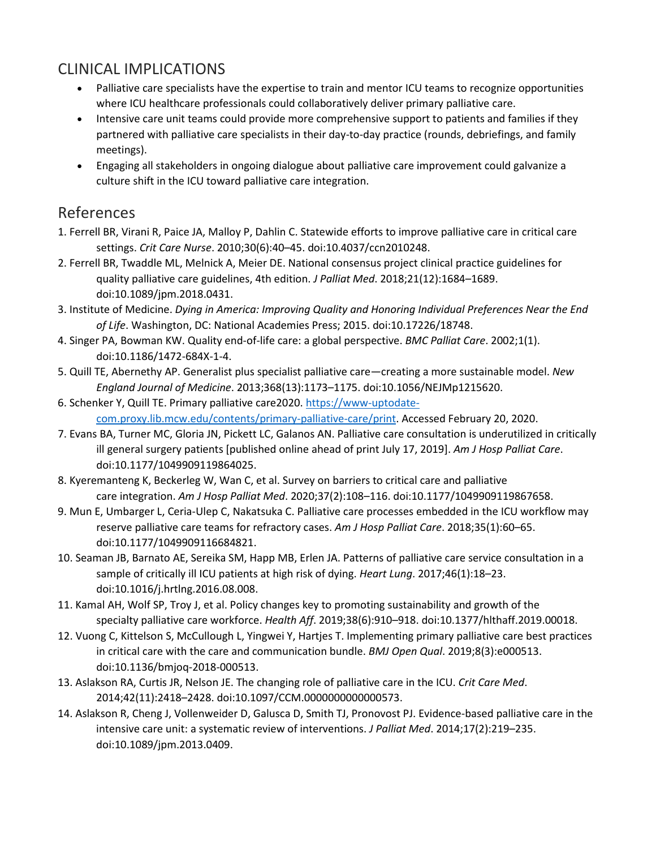## CLINICAL IMPLICATIONS

- Palliative care specialists have the expertise to train and mentor ICU teams to recognize opportunities where ICU healthcare professionals could collaboratively deliver primary palliative care.
- Intensive care unit teams could provide more comprehensive support to patients and families if they partnered with palliative care specialists in their day-to-day practice (rounds, debriefings, and family meetings).
- Engaging all stakeholders in ongoing dialogue about palliative care improvement could galvanize a culture shift in the ICU toward palliative care integration.

#### References

- 1. Ferrell BR, Virani R, Paice JA, Malloy P, Dahlin C. Statewide efforts to improve palliative care in critical care settings. *Crit Care Nurse*. 2010;30(6):40–45. doi:10.4037/ccn2010248.
- 2. Ferrell BR, Twaddle ML, Melnick A, Meier DE. National consensus project clinical practice guidelines for quality palliative care guidelines, 4th edition. *J Palliat Med*. 2018;21(12):1684–1689. doi:10.1089/jpm.2018.0431.
- 3. Institute of Medicine. *Dying in America: Improving Quality and Honoring Individual Preferences Near the End of Life*. Washington, DC: National Academies Press; 2015. doi:10.17226/18748.
- 4. Singer PA, Bowman KW. Quality end-of-life care: a global perspective. *BMC Palliat Care*. 2002;1(1). doi:10.1186/1472-684X-1-4.
- 5. Quill TE, Abernethy AP. Generalist plus specialist palliative care—creating a more sustainable model. *New England Journal of Medicine*. 2013;368(13):1173–1175. doi:10.1056/NEJMp1215620.
- 6. Schenker Y, Quill TE. Primary palliative care2020. [https://www-uptodate](https://www-uptodate-com.proxy.lib.mcw.edu/contents/primary-palliative-care/print)[com.proxy.lib.mcw.edu/contents/primary-palliative-care/print.](https://www-uptodate-com.proxy.lib.mcw.edu/contents/primary-palliative-care/print) Accessed February 20, 2020.
- 7. Evans BA, Turner MC, Gloria JN, Pickett LC, Galanos AN. Palliative care consultation is underutilized in critically ill general surgery patients [published online ahead of print July 17, 2019]. *Am J Hosp Palliat Care*. doi:10.1177/1049909119864025.
- 8. Kyeremanteng K, Beckerleg W, Wan C, et al. Survey on barriers to critical care and palliative care integration. *Am J Hosp Palliat Med*. 2020;37(2):108–116. doi:10.1177/1049909119867658.
- 9. Mun E, Umbarger L, Ceria-Ulep C, Nakatsuka C. Palliative care processes embedded in the ICU workflow may reserve palliative care teams for refractory cases. *Am J Hosp Palliat Care*. 2018;35(1):60–65. doi:10.1177/1049909116684821.
- 10. Seaman JB, Barnato AE, Sereika SM, Happ MB, Erlen JA. Patterns of palliative care service consultation in a sample of critically ill ICU patients at high risk of dying. *Heart Lung*. 2017;46(1):18–23. doi:10.1016/j.hrtlng.2016.08.008.
- 11. Kamal AH, Wolf SP, Troy J, et al. Policy changes key to promoting sustainability and growth of the specialty palliative care workforce. *Health Aff*. 2019;38(6):910–918. doi:10.1377/hlthaff.2019.00018.
- 12. Vuong C, Kittelson S, McCullough L, Yingwei Y, Hartjes T. Implementing primary palliative care best practices in critical care with the care and communication bundle. *BMJ Open Qual*. 2019;8(3):e000513. doi:10.1136/bmjoq-2018-000513.
- 13. Aslakson RA, Curtis JR, Nelson JE. The changing role of palliative care in the ICU. *Crit Care Med*. 2014;42(11):2418–2428. doi:10.1097/CCM.0000000000000573.
- 14. Aslakson R, Cheng J, Vollenweider D, Galusca D, Smith TJ, Pronovost PJ. Evidence-based palliative care in the intensive care unit: a systematic review of interventions. *J Palliat Med*. 2014;17(2):219–235. doi:10.1089/jpm.2013.0409.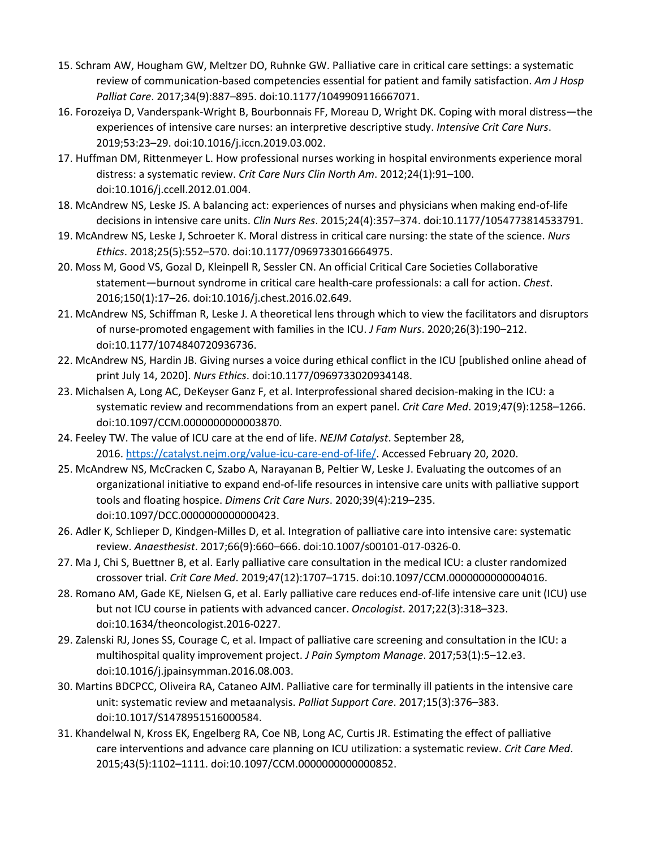- 15. Schram AW, Hougham GW, Meltzer DO, Ruhnke GW. Palliative care in critical care settings: a systematic review of communication-based competencies essential for patient and family satisfaction. *Am J Hosp Palliat Care*. 2017;34(9):887–895. doi:10.1177/1049909116667071.
- 16. Forozeiya D, Vanderspank-Wright B, Bourbonnais FF, Moreau D, Wright DK. Coping with moral distress—the experiences of intensive care nurses: an interpretive descriptive study. *Intensive Crit Care Nurs*. 2019;53:23–29. doi:10.1016/j.iccn.2019.03.002.
- 17. Huffman DM, Rittenmeyer L. How professional nurses working in hospital environments experience moral distress: a systematic review. *Crit Care Nurs Clin North Am*. 2012;24(1):91–100. doi:10.1016/j.ccell.2012.01.004.
- 18. McAndrew NS, Leske JS. A balancing act: experiences of nurses and physicians when making end-of-life decisions in intensive care units. *Clin Nurs Res*. 2015;24(4):357–374. doi:10.1177/1054773814533791.
- 19. McAndrew NS, Leske J, Schroeter K. Moral distress in critical care nursing: the state of the science. *Nurs Ethics*. 2018;25(5):552–570. doi:10.1177/0969733016664975.
- 20. Moss M, Good VS, Gozal D, Kleinpell R, Sessler CN. An official Critical Care Societies Collaborative statement—burnout syndrome in critical care health-care professionals: a call for action. *Chest*. 2016;150(1):17–26. doi:10.1016/j.chest.2016.02.649.
- 21. McAndrew NS, Schiffman R, Leske J. A theoretical lens through which to view the facilitators and disruptors of nurse-promoted engagement with families in the ICU. *J Fam Nurs*. 2020;26(3):190–212. doi:10.1177/1074840720936736.
- 22. McAndrew NS, Hardin JB. Giving nurses a voice during ethical conflict in the ICU [published online ahead of print July 14, 2020]. *Nurs Ethics*. doi:10.1177/0969733020934148.
- 23. Michalsen A, Long AC, DeKeyser Ganz F, et al. Interprofessional shared decision-making in the ICU: a systematic review and recommendations from an expert panel. *Crit Care Med*. 2019;47(9):1258–1266. doi:10.1097/CCM.0000000000003870.
- 24. Feeley TW. The value of ICU care at the end of life. *NEJM Catalyst*. September 28, 2016. [https://catalyst.nejm.org/value-icu-care-end-of-life/.](https://catalyst.nejm.org/value-icu-care-end-of-life/) Accessed February 20, 2020.
- 25. McAndrew NS, McCracken C, Szabo A, Narayanan B, Peltier W, Leske J. Evaluating the outcomes of an organizational initiative to expand end-of-life resources in intensive care units with palliative support tools and floating hospice. *Dimens Crit Care Nurs*. 2020;39(4):219–235. doi:10.1097/DCC.0000000000000423.
- 26. Adler K, Schlieper D, Kindgen-Milles D, et al. Integration of palliative care into intensive care: systematic review. *Anaesthesist*. 2017;66(9):660–666. doi:10.1007/s00101-017-0326-0.
- 27. Ma J, Chi S, Buettner B, et al. Early palliative care consultation in the medical ICU: a cluster randomized crossover trial. *Crit Care Med*. 2019;47(12):1707–1715. doi:10.1097/CCM.0000000000004016.
- 28. Romano AM, Gade KE, Nielsen G, et al. Early palliative care reduces end-of-life intensive care unit (ICU) use but not ICU course in patients with advanced cancer. *Oncologist*. 2017;22(3):318–323. doi:10.1634/theoncologist.2016-0227.
- 29. Zalenski RJ, Jones SS, Courage C, et al. Impact of palliative care screening and consultation in the ICU: a multihospital quality improvement project. *J Pain Symptom Manage*. 2017;53(1):5–12.e3. doi:10.1016/j.jpainsymman.2016.08.003.
- 30. Martins BDCPCC, Oliveira RA, Cataneo AJM. Palliative care for terminally ill patients in the intensive care unit: systematic review and metaanalysis. *Palliat Support Care*. 2017;15(3):376–383. doi:10.1017/S1478951516000584.
- 31. Khandelwal N, Kross EK, Engelberg RA, Coe NB, Long AC, Curtis JR. Estimating the effect of palliative care interventions and advance care planning on ICU utilization: a systematic review. *Crit Care Med*. 2015;43(5):1102–1111. doi:10.1097/CCM.0000000000000852.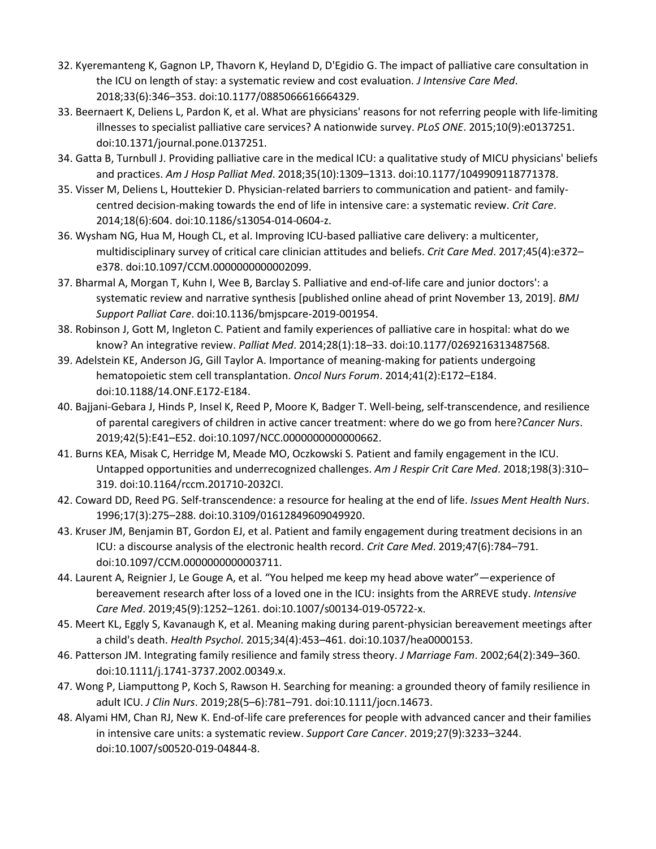- 32. Kyeremanteng K, Gagnon LP, Thavorn K, Heyland D, D'Egidio G. The impact of palliative care consultation in the ICU on length of stay: a systematic review and cost evaluation. *J Intensive Care Med*. 2018;33(6):346–353. doi:10.1177/0885066616664329.
- 33. Beernaert K, Deliens L, Pardon K, et al. What are physicians' reasons for not referring people with life-limiting illnesses to specialist palliative care services? A nationwide survey. *PLoS ONE*. 2015;10(9):e0137251. doi:10.1371/journal.pone.0137251.
- 34. Gatta B, Turnbull J. Providing palliative care in the medical ICU: a qualitative study of MICU physicians' beliefs and practices. *Am J Hosp Palliat Med*. 2018;35(10):1309–1313. doi:10.1177/1049909118771378.
- 35. Visser M, Deliens L, Houttekier D. Physician-related barriers to communication and patient- and familycentred decision-making towards the end of life in intensive care: a systematic review. *Crit Care*. 2014;18(6):604. doi:10.1186/s13054-014-0604-z.
- 36. Wysham NG, Hua M, Hough CL, et al. Improving ICU-based palliative care delivery: a multicenter, multidisciplinary survey of critical care clinician attitudes and beliefs. *Crit Care Med*. 2017;45(4):e372– e378. doi:10.1097/CCM.0000000000002099.
- 37. Bharmal A, Morgan T, Kuhn I, Wee B, Barclay S. Palliative and end-of-life care and junior doctors': a systematic review and narrative synthesis [published online ahead of print November 13, 2019]. *BMJ Support Palliat Care*. doi:10.1136/bmjspcare-2019-001954.
- 38. Robinson J, Gott M, Ingleton C. Patient and family experiences of palliative care in hospital: what do we know? An integrative review. *Palliat Med*. 2014;28(1):18–33. doi:10.1177/0269216313487568.
- 39. Adelstein KE, Anderson JG, Gill Taylor A. Importance of meaning-making for patients undergoing hematopoietic stem cell transplantation. *Oncol Nurs Forum*. 2014;41(2):E172–E184. doi:10.1188/14.ONF.E172-E184.
- 40. Bajjani-Gebara J, Hinds P, Insel K, Reed P, Moore K, Badger T. Well-being, self-transcendence, and resilience of parental caregivers of children in active cancer treatment: where do we go from here?*Cancer Nurs*. 2019;42(5):E41–E52. doi:10.1097/NCC.0000000000000662.
- 41. Burns KEA, Misak C, Herridge M, Meade MO, Oczkowski S. Patient and family engagement in the ICU. Untapped opportunities and underrecognized challenges. *Am J Respir Crit Care Med*. 2018;198(3):310– 319. doi:10.1164/rccm.201710-2032CI.
- 42. Coward DD, Reed PG. Self-transcendence: a resource for healing at the end of life. *Issues Ment Health Nurs*. 1996;17(3):275–288. doi:10.3109/01612849609049920.
- 43. Kruser JM, Benjamin BT, Gordon EJ, et al. Patient and family engagement during treatment decisions in an ICU: a discourse analysis of the electronic health record. *Crit Care Med*. 2019;47(6):784–791. doi:10.1097/CCM.0000000000003711.
- 44. Laurent A, Reignier J, Le Gouge A, et al. "You helped me keep my head above water"—experience of bereavement research after loss of a loved one in the ICU: insights from the ARREVE study. *Intensive Care Med*. 2019;45(9):1252–1261. doi:10.1007/s00134-019-05722-x.
- 45. Meert KL, Eggly S, Kavanaugh K, et al. Meaning making during parent-physician bereavement meetings after a child's death. *Health Psychol*. 2015;34(4):453–461. doi:10.1037/hea0000153.
- 46. Patterson JM. Integrating family resilience and family stress theory. *J Marriage Fam*. 2002;64(2):349–360. doi:10.1111/j.1741-3737.2002.00349.x.
- 47. Wong P, Liamputtong P, Koch S, Rawson H. Searching for meaning: a grounded theory of family resilience in adult ICU. *J Clin Nurs*. 2019;28(5–6):781–791. doi:10.1111/jocn.14673.
- 48. Alyami HM, Chan RJ, New K. End-of-life care preferences for people with advanced cancer and their families in intensive care units: a systematic review. *Support Care Cancer*. 2019;27(9):3233–3244. doi:10.1007/s00520-019-04844-8.